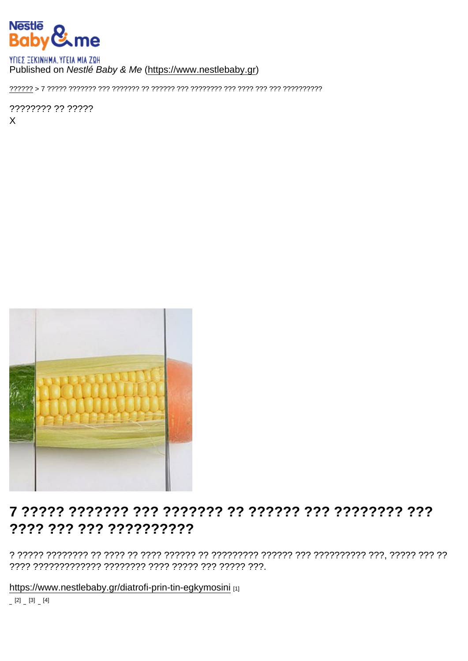### Published on Nestlé Baby & Me (https://www.nestlebaby.gr)

???????? ?? ?????  $\mathsf{X}$ 

## ???? ??? ??? ??????????

https://www.nestlebaby.gr/diatrofi-prin-tin-egkymosini [1]

 $[2]$   $[3]$   $[4]$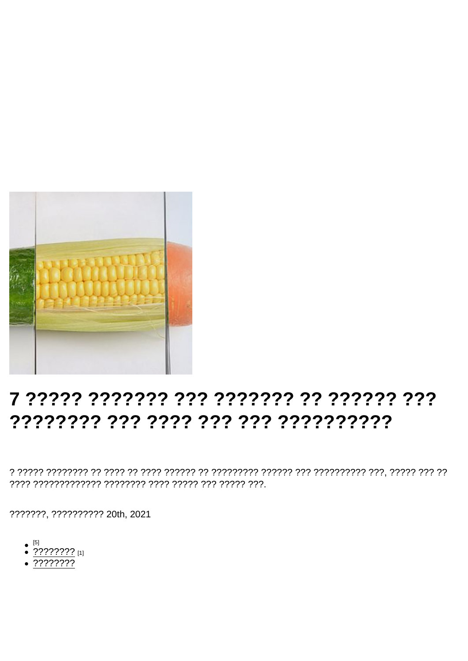# 7 ????? ??????? ??? ??????? ?? ?????? 7?? ???????? ??? ???? ??? ??? ??????????

???????, ?????????? 20th, 2021

- $\bullet$  [5]
- $\bullet$  ???????? [1]
- $\sqrt{???????$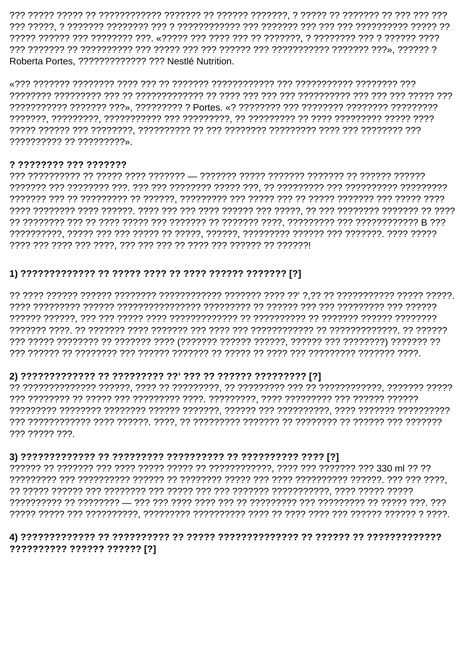Roberta Portes, ?????????????? ??? Nestlé Nutrition.

?????????? ?? ?????????».

#### ? ???????? ??? ???????

## 

### 

??? ????? ???

### 

### ?????????? ?????? ?????? [?]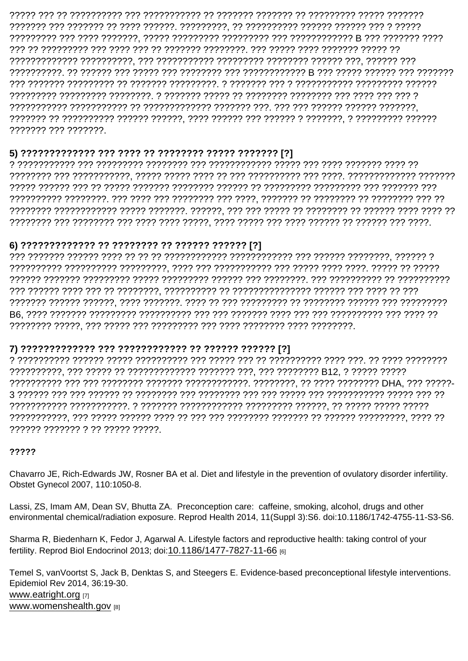??????? ??? ???????.

 $21$ 

#### 

#### $?1$

#### ?1

?????? ??????? ? ?? ????? ?????.

### ?????

Chavarro JE, Rich-Edwards JW, Rosner BA et al. Diet and lifestyle in the prevention of ovulatory disorder infertility. Obstet Gynecol 2007, 110:1050-8.

Lassi, ZS, Imam AM, Dean SV, Bhutta ZA. Preconception care: caffeine, smoking, alcohol, drugs and other environmental chemical/radiation exposure. Reprod Health 2014, 11(Suppl 3):S6. doi:10.1186/1742-4755-11-S3-S6.

Sharma R, Biedenharn K, Fedor J, Agarwal A. Lifestyle factors and reproductive health: taking control of your fertility, Reprod Biol Endocrinol 2013; doi:10.1186/1477-7827-11-66 [6]

Temel S, vanVoortst S, Jack B, Denktas S, and Steegers E. Evidence-based preconceptional lifestyle interventions. Epidemiol Rev 2014, 36:19-30. www.eatright.org [7] www.womenshealth.gov [8]